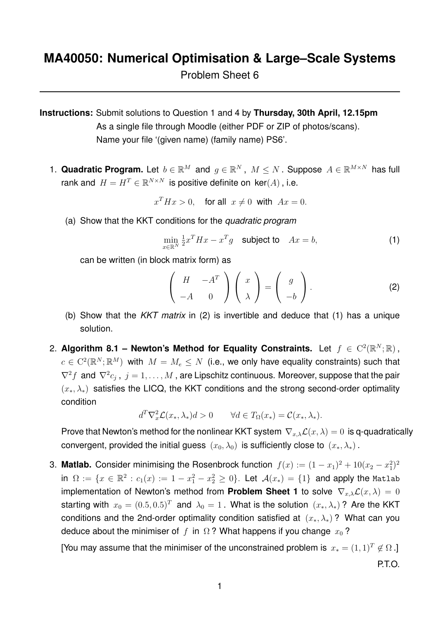**Instructions:** Submit solutions to Question 1 and 4 by **Thursday, 30th April, 12.15pm** As a single file through Moodle (either PDF or ZIP of photos/scans). Name your file '(given name) (family name) PS6'.

1. **Quadratic Program.** Let  $b \in \mathbb{R}^M$  and  $g \in \mathbb{R}^N$ ,  $M \leq N$ . Suppose  $A \in \mathbb{R}^{M \times N}$  has full rank and  $H = H^T \in \mathbb{R}^{N \times N}$  is positive definite on  $ker(A)$ , i.e.

 $x^T H x > 0$ , for all  $x \neq 0$  with  $Ax = 0$ .

(a) Show that the KKT conditions for the *quadratic program*

$$
\min_{x \in \mathbb{R}^N} \frac{1}{2} x^T H x - x^T g \quad \text{subject to} \quad Ax = b,
$$
\n(1)

can be written (in block matrix form) as

$$
\left(\begin{array}{cc} H & -A^T \\ -A & 0 \end{array}\right)\left(\begin{array}{c} x \\ \lambda \end{array}\right) = \left(\begin{array}{c} g \\ -b \end{array}\right).
$$
 (2)

- (b) Show that the *KKT matrix* in (2) is invertible and deduce that (1) has a unique solution.
- 2. Algorithm 8.1 Newton's Method for Equality Constraints. Let  $f \in C^2(\mathbb{R}^N;\mathbb{R})$ ,  $c \in \mathrm{C}^2(\mathbb{R}^N;\mathbb{R}^M)$  with  $M = M_e \leq N$  (i.e., we only have equality constraints) such that  $\nabla^2 f$  and  $\nabla^2 c_j$ ,  $j = 1, \ldots, M$ , are Lipschitz continuous. Moreover, suppose that the pair  $(x_*, \lambda_*)$  satisfies the LICQ, the KKT conditions and the strong second-order optimality condition

$$
d^T \nabla_x^2 \mathcal{L}(x_*, \lambda_*) d > 0 \qquad \forall d \in T_{\Omega}(x_*) = \mathcal{C}(x_*, \lambda_*).
$$

Prove that Newton's method for the nonlinear KKT system  $\nabla_{x,\lambda}\mathcal{L}(x,\lambda)=0$  is q-quadratically convergent, provided the initial guess  $(x_0, \lambda_0)$  is sufficiently close to  $(x_*, \lambda_*)$ .

3. Matlab. Consider minimising the Rosenbrock function  $f(x) := (1 - x_1)^2 + 10(x_2 - x_1^2)^2$ in  $\Omega:=\{x\in\mathbb{R}^2:c_1(x):=1-x_1^2-x_2^2\geq 0\}.$  Let  $\mathcal{A}(x_*)=\{1\}$  and apply the <code>Matlab</code> implementation of Newton's method from **Problem Sheet 1** to solve  $\nabla_{x,\lambda} \mathcal{L}(x,\lambda) = 0$ starting with  $x_0 = (0.5, 0.5)^T$  and  $\lambda_0 = 1$ . What is the solution  $(x_*, \lambda_*)$ ? Are the KKT conditions and the 2nd-order optimality condition satisfied at  $(x_*, \lambda_*)$ ? What can you deduce about the minimiser of f in  $\Omega$ ? What happens if you change  $x_0$ ?

[You may assume that the minimiser of the unconstrained problem is  $x_* = (1,1)^T \notin \Omega$ .] P.T.O.